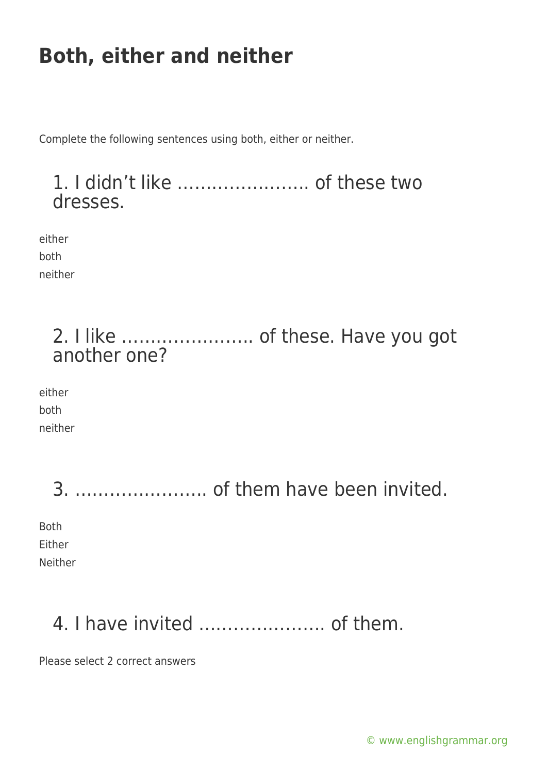Complete the following sentences using both, either or neither.

#### 1. I didn't like ………………….. of these two dresses.

either both neither

### 2. I like ………………….. of these. Have you got another one?

either both neither

| Both    |
|---------|
| Either  |
| Neither |

## 4. I have invited …………………. of them.

Please select 2 correct answers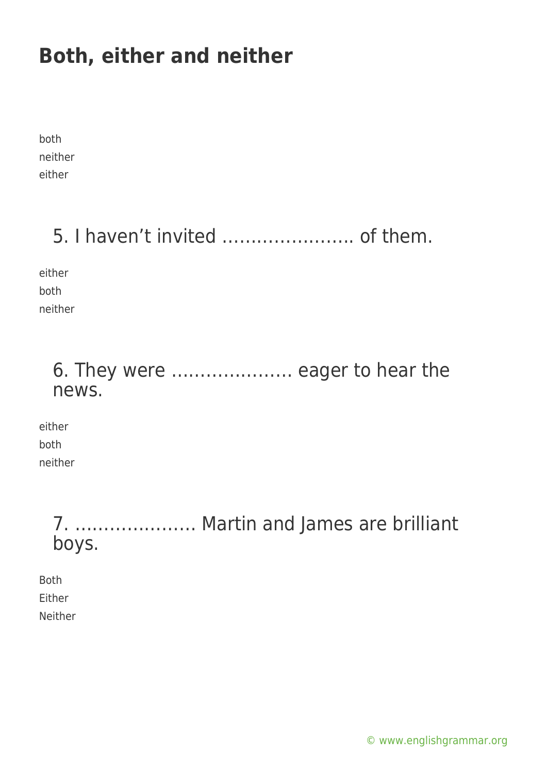both neither either

## 5. I haven't invited ………………….. of them.

either both neither

### 6. They were ………………… eager to hear the news.

either both neither

> 7. ………………… Martin and James are brilliant boys.

Both Either Neither

[© www.englishgrammar.org](https://www.englishgrammar.org/)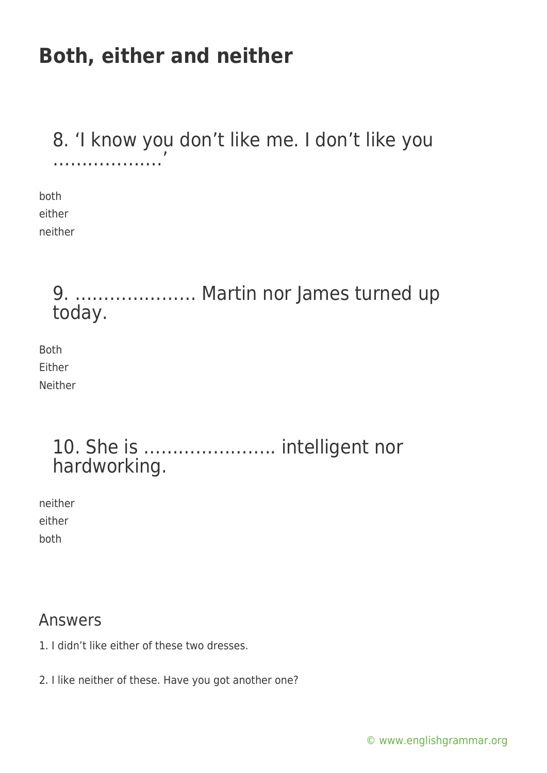#### 8. 'I know you don't like me. I don't like you ………………………

both either neither

### 9. ………………… Martin nor James turned up today.

Both Either Neither

### 10. She is ………………….. intelligent nor hardworking.

neither either both

#### Answers

- 1. I didn't like either of these two dresses.
- 2. I like neither of these. Have you got another one?